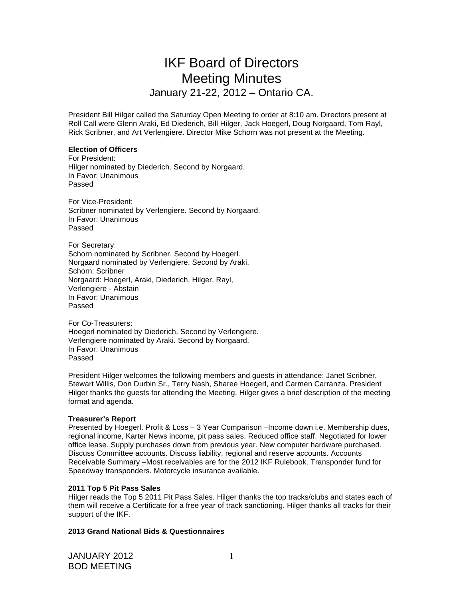# IKF Board of Directors Meeting Minutes January 21-22, 2012 – Ontario CA.

President Bill Hilger called the Saturday Open Meeting to order at 8:10 am. Directors present at Roll Call were Glenn Araki, Ed Diederich, Bill Hilger, Jack Hoegerl, Doug Norgaard, Tom Rayl, Rick Scribner, and Art Verlengiere. Director Mike Schorn was not present at the Meeting.

### **Election of Officers**

For President: Hilger nominated by Diederich. Second by Norgaard. In Favor: Unanimous Passed

For Vice-President: Scribner nominated by Verlengiere. Second by Norgaard. In Favor: Unanimous Passed

For Secretary: Schorn nominated by Scribner. Second by Hoegerl. Norgaard nominated by Verlengiere. Second by Araki. Schorn: Scribner Norgaard: Hoegerl, Araki, Diederich, Hilger, Rayl, Verlengiere - Abstain In Favor: Unanimous Passed

For Co-Treasurers: Hoegerl nominated by Diederich. Second by Verlengiere. Verlengiere nominated by Araki. Second by Norgaard. In Favor: Unanimous Passed

President Hilger welcomes the following members and guests in attendance: Janet Scribner, Stewart Willis, Don Durbin Sr., Terry Nash, Sharee Hoegerl, and Carmen Carranza. President Hilger thanks the guests for attending the Meeting. Hilger gives a brief description of the meeting format and agenda.

### **Treasurer's Report**

Presented by Hoegerl. Profit & Loss – 3 Year Comparison –Income down i.e. Membership dues, regional income, Karter News income, pit pass sales. Reduced office staff. Negotiated for lower office lease. Supply purchases down from previous year. New computer hardware purchased. Discuss Committee accounts. Discuss liability, regional and reserve accounts. Accounts Receivable Summary –Most receivables are for the 2012 IKF Rulebook. Transponder fund for Speedway transponders. Motorcycle insurance available.

### **2011 Top 5 Pit Pass Sales**

Hilger reads the Top 5 2011 Pit Pass Sales. Hilger thanks the top tracks/clubs and states each of them will receive a Certificate for a free year of track sanctioning. Hilger thanks all tracks for their support of the IKF.

## **2013 Grand National Bids & Questionnaires**

JANUARY 2012 BOD MEETING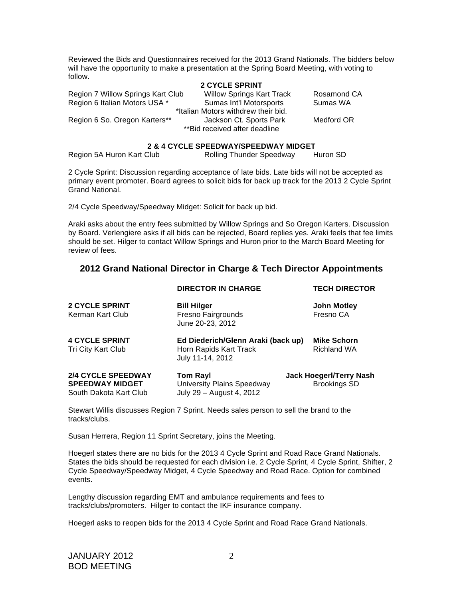Reviewed the Bids and Questionnaires received for the 2013 Grand Nationals. The bidders below will have the opportunity to make a presentation at the Spring Board Meeting, with voting to follow.

**2 CYCLE SPRINT** 

| Region 7 Willow Springs Kart Club | <b>Willow Springs Kart Track</b>    | Rosamond CA |
|-----------------------------------|-------------------------------------|-------------|
| Region 6 Italian Motors USA *     | Sumas Int'l Motorsports             | Sumas WA    |
|                                   | *Italian Motors withdrew their bid. |             |
| Region 6 So. Oregon Karters**     | Jackson Ct. Sports Park             | Medford OR  |
|                                   | **Bid received after deadline       |             |
|                                   |                                     |             |

#### **2 & 4 CYCLE SPEEDWAY/SPEEDWAY MIDGET**

| Region 5A Huron Kart Club | <b>Rolling Thunder Speedway</b> | Huron SD |
|---------------------------|---------------------------------|----------|
|---------------------------|---------------------------------|----------|

2 Cycle Sprint: Discussion regarding acceptance of late bids. Late bids will not be accepted as primary event promoter. Board agrees to solicit bids for back up track for the 2013 2 Cycle Sprint Grand National.

2/4 Cycle Speedway/Speedway Midget: Solicit for back up bid.

Araki asks about the entry fees submitted by Willow Springs and So Oregon Karters. Discussion by Board. Verlengiere asks if all bids can be rejected, Board replies yes. Araki feels that fee limits should be set. Hilger to contact Willow Springs and Huron prior to the March Board Meeting for review of fees.

# **2012 Grand National Director in Charge & Tech Director Appointments**

|                                                                               | <b>DIRECTOR IN CHARGE</b>                                                        | <b>TECH DIRECTOR</b>                                  |
|-------------------------------------------------------------------------------|----------------------------------------------------------------------------------|-------------------------------------------------------|
| <b>2 CYCLE SPRINT</b><br>Kerman Kart Club                                     | <b>Bill Hilger</b><br>Fresno Fairgrounds<br>June 20-23, 2012                     | <b>John Motley</b><br>Fresno CA                       |
| <b>4 CYCLE SPRINT</b><br>Tri City Kart Club                                   | Ed Diederich/Glenn Araki (back up)<br>Horn Rapids Kart Track<br>July 11-14, 2012 | <b>Mike Schorn</b><br><b>Richland WA</b>              |
| <b>2/4 CYCLE SPEEDWAY</b><br><b>SPEEDWAY MIDGET</b><br>South Dakota Kart Club | <b>Tom Rayl</b><br>University Plains Speedway<br>July 29 - August 4, 2012        | <b>Jack Hoegerl/Terry Nash</b><br><b>Brookings SD</b> |

Stewart Willis discusses Region 7 Sprint. Needs sales person to sell the brand to the tracks/clubs.

Susan Herrera, Region 11 Sprint Secretary, joins the Meeting.

Hoegerl states there are no bids for the 2013 4 Cycle Sprint and Road Race Grand Nationals. States the bids should be requested for each division i.e. 2 Cycle Sprint, 4 Cycle Sprint, Shifter, 2 Cycle Speedway/Speedway Midget, 4 Cycle Speedway and Road Race. Option for combined events.

Lengthy discussion regarding EMT and ambulance requirements and fees to tracks/clubs/promoters. Hilger to contact the IKF insurance company.

Hoegerl asks to reopen bids for the 2013 4 Cycle Sprint and Road Race Grand Nationals.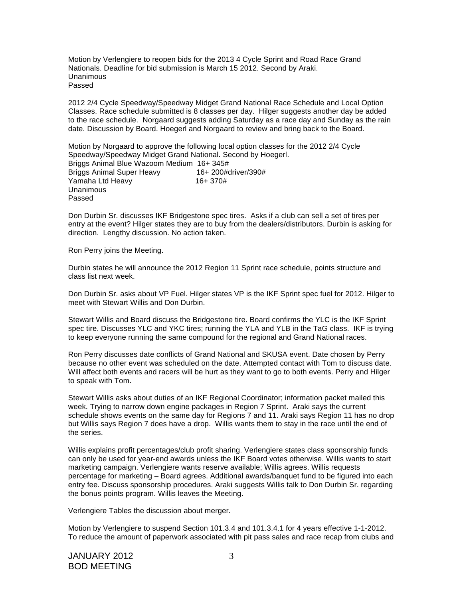Motion by Verlengiere to reopen bids for the 2013 4 Cycle Sprint and Road Race Grand Nationals. Deadline for bid submission is March 15 2012. Second by Araki. Unanimous Passed

2012 2/4 Cycle Speedway/Speedway Midget Grand National Race Schedule and Local Option Classes. Race schedule submitted is 8 classes per day. Hilger suggests another day be added to the race schedule. Norgaard suggests adding Saturday as a race day and Sunday as the rain date. Discussion by Board. Hoegerl and Norgaard to review and bring back to the Board.

Motion by Norgaard to approve the following local option classes for the 2012 2/4 Cycle Speedway/Speedway Midget Grand National. Second by Hoegerl. Briggs Animal Blue Wazoom Medium 16+ 345# Briggs Animal Super Heavy 16+ 200#driver/390#<br>
Yamaha Ltd Heavy 16+ 370# Yamaha Ltd Heavy Unanimous Passed

Don Durbin Sr. discusses IKF Bridgestone spec tires. Asks if a club can sell a set of tires per entry at the event? Hilger states they are to buy from the dealers/distributors. Durbin is asking for direction. Lengthy discussion. No action taken.

Ron Perry joins the Meeting.

Durbin states he will announce the 2012 Region 11 Sprint race schedule, points structure and class list next week.

Don Durbin Sr. asks about VP Fuel. Hilger states VP is the IKF Sprint spec fuel for 2012. Hilger to meet with Stewart Willis and Don Durbin.

Stewart Willis and Board discuss the Bridgestone tire. Board confirms the YLC is the IKF Sprint spec tire. Discusses YLC and YKC tires; running the YLA and YLB in the TaG class. IKF is trying to keep everyone running the same compound for the regional and Grand National races.

Ron Perry discusses date conflicts of Grand National and SKUSA event. Date chosen by Perry because no other event was scheduled on the date. Attempted contact with Tom to discuss date. Will affect both events and racers will be hurt as they want to go to both events. Perry and Hilger to speak with Tom.

Stewart Willis asks about duties of an IKF Regional Coordinator; information packet mailed this week. Trying to narrow down engine packages in Region 7 Sprint. Araki says the current schedule shows events on the same day for Regions 7 and 11. Araki says Region 11 has no drop but Willis says Region 7 does have a drop. Willis wants them to stay in the race until the end of the series.

Willis explains profit percentages/club profit sharing. Verlengiere states class sponsorship funds can only be used for year-end awards unless the IKF Board votes otherwise. Willis wants to start marketing campaign. Verlengiere wants reserve available; Willis agrees. Willis requests percentage for marketing – Board agrees. Additional awards/banquet fund to be figured into each entry fee. Discuss sponsorship procedures. Araki suggests Willis talk to Don Durbin Sr. regarding the bonus points program. Willis leaves the Meeting.

Verlengiere Tables the discussion about merger.

Motion by Verlengiere to suspend Section 101.3.4 and 101.3.4.1 for 4 years effective 1-1-2012. To reduce the amount of paperwork associated with pit pass sales and race recap from clubs and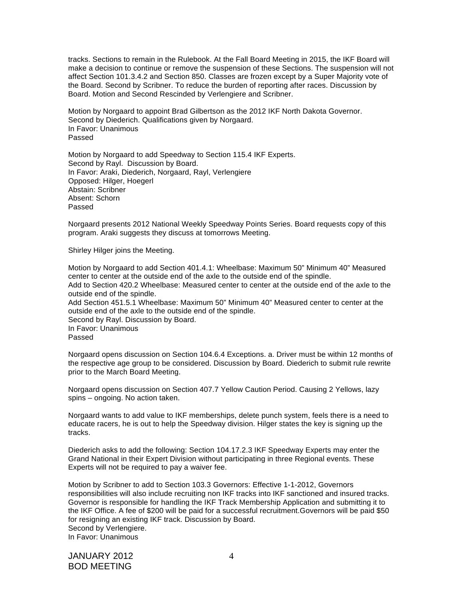tracks. Sections to remain in the Rulebook. At the Fall Board Meeting in 2015, the IKF Board will make a decision to continue or remove the suspension of these Sections. The suspension will not affect Section 101.3.4.2 and Section 850. Classes are frozen except by a Super Majority vote of the Board. Second by Scribner. To reduce the burden of reporting after races. Discussion by Board. Motion and Second Rescinded by Verlengiere and Scribner.

Motion by Norgaard to appoint Brad Gilbertson as the 2012 IKF North Dakota Governor. Second by Diederich. Qualifications given by Norgaard. In Favor: Unanimous Passed

Motion by Norgaard to add Speedway to Section 115.4 IKF Experts. Second by Rayl. Discussion by Board. In Favor: Araki, Diederich, Norgaard, Rayl, Verlengiere Opposed: Hilger, Hoegerl Abstain: Scribner Absent: Schorn Passed

Norgaard presents 2012 National Weekly Speedway Points Series. Board requests copy of this program. Araki suggests they discuss at tomorrows Meeting.

Shirley Hilger joins the Meeting.

Motion by Norgaard to add Section 401.4.1: Wheelbase: Maximum 50" Minimum 40" Measured center to center at the outside end of the axle to the outside end of the spindle. Add to Section 420.2 Wheelbase: Measured center to center at the outside end of the axle to the outside end of the spindle. Add Section 451.5.1 Wheelbase: Maximum 50" Minimum 40" Measured center to center at the outside end of the axle to the outside end of the spindle. Second by Rayl. Discussion by Board. In Favor: Unanimous Passed

Norgaard opens discussion on Section 104.6.4 Exceptions. a. Driver must be within 12 months of the respective age group to be considered. Discussion by Board. Diederich to submit rule rewrite prior to the March Board Meeting.

Norgaard opens discussion on Section 407.7 Yellow Caution Period. Causing 2 Yellows, lazy spins – ongoing. No action taken.

Norgaard wants to add value to IKF memberships, delete punch system, feels there is a need to educate racers, he is out to help the Speedway division. Hilger states the key is signing up the tracks.

Diederich asks to add the following: Section 104.17.2.3 IKF Speedway Experts may enter the Grand National in their Expert Division without participating in three Regional events. These Experts will not be required to pay a waiver fee.

Motion by Scribner to add to Section 103.3 Governors: Effective 1-1-2012, Governors responsibilities will also include recruiting non IKF tracks into IKF sanctioned and insured tracks. Governor is responsible for handling the IKF Track Membership Application and submitting it to the IKF Office. A fee of \$200 will be paid for a successful recruitment.Governors will be paid \$50 for resigning an existing IKF track. Discussion by Board. Second by Verlengiere. In Favor: Unanimous

JANUARY 2012 BOD MEETING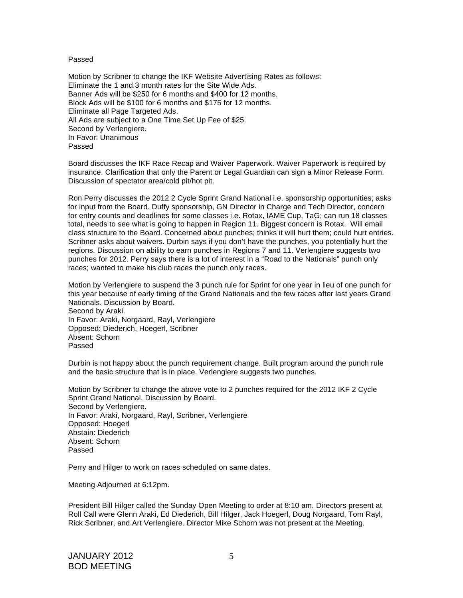Passed

Motion by Scribner to change the IKF Website Advertising Rates as follows: Eliminate the 1 and 3 month rates for the Site Wide Ads. Banner Ads will be \$250 for 6 months and \$400 for 12 months. Block Ads will be \$100 for 6 months and \$175 for 12 months. Eliminate all Page Targeted Ads. All Ads are subject to a One Time Set Up Fee of \$25. Second by Verlengiere. In Favor: Unanimous Passed

Board discusses the IKF Race Recap and Waiver Paperwork. Waiver Paperwork is required by insurance. Clarification that only the Parent or Legal Guardian can sign a Minor Release Form. Discussion of spectator area/cold pit/hot pit.

Ron Perry discusses the 2012 2 Cycle Sprint Grand National i.e. sponsorship opportunities; asks for input from the Board. Duffy sponsorship, GN Director in Charge and Tech Director, concern for entry counts and deadlines for some classes i.e. Rotax, IAME Cup, TaG; can run 18 classes total, needs to see what is going to happen in Region 11. Biggest concern is Rotax. Will email class structure to the Board. Concerned about punches; thinks it will hurt them; could hurt entries. Scribner asks about waivers. Durbin says if you don't have the punches, you potentially hurt the regions. Discussion on ability to earn punches in Regions 7 and 11. Verlengiere suggests two punches for 2012. Perry says there is a lot of interest in a "Road to the Nationals" punch only races; wanted to make his club races the punch only races.

Motion by Verlengiere to suspend the 3 punch rule for Sprint for one year in lieu of one punch for this year because of early timing of the Grand Nationals and the few races after last years Grand Nationals. Discussion by Board. Second by Araki.

In Favor: Araki, Norgaard, Rayl, Verlengiere Opposed: Diederich, Hoegerl, Scribner Absent: Schorn Passed

Durbin is not happy about the punch requirement change. Built program around the punch rule and the basic structure that is in place. Verlengiere suggests two punches.

Motion by Scribner to change the above vote to 2 punches required for the 2012 IKF 2 Cycle Sprint Grand National. Discussion by Board. Second by Verlengiere. In Favor: Araki, Norgaard, Rayl, Scribner, Verlengiere Opposed: Hoegerl Abstain: Diederich Absent: Schorn Passed

Perry and Hilger to work on races scheduled on same dates.

Meeting Adjourned at 6:12pm.

President Bill Hilger called the Sunday Open Meeting to order at 8:10 am. Directors present at Roll Call were Glenn Araki, Ed Diederich, Bill Hilger, Jack Hoegerl, Doug Norgaard, Tom Rayl, Rick Scribner, and Art Verlengiere. Director Mike Schorn was not present at the Meeting.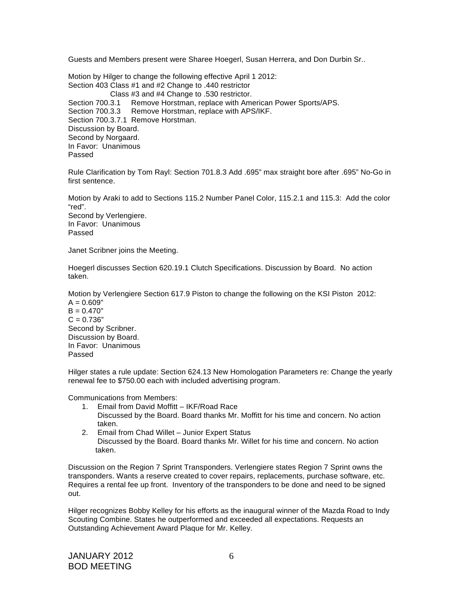Guests and Members present were Sharee Hoegerl, Susan Herrera, and Don Durbin Sr..

Motion by Hilger to change the following effective April 1 2012: Section 403 Class #1 and #2 Change to .440 restrictor Class #3 and #4 Change to .530 restrictor. Section 700.3.1 Remove Horstman, replace with American Power Sports/APS. Section 700.3.3 Remove Horstman, replace with APS/IKF. Section 700.3.7.1 Remove Horstman. Discussion by Board. Second by Norgaard. In Favor: Unanimous Passed

Rule Clarification by Tom Rayl: Section 701.8.3 Add .695" max straight bore after .695" No-Go in first sentence.

Motion by Araki to add to Sections 115.2 Number Panel Color, 115.2.1 and 115.3: Add the color "red".

Second by Verlengiere. In Favor: Unanimous Passed

Janet Scribner joins the Meeting.

Hoegerl discusses Section 620.19.1 Clutch Specifications. Discussion by Board. No action taken.

Motion by Verlengiere Section 617.9 Piston to change the following on the KSI Piston 2012:  $A = 0.609"$  $B = 0.470"$ 

 $C = 0.736"$ Second by Scribner. Discussion by Board. In Favor: Unanimous Passed

Hilger states a rule update: Section 624.13 New Homologation Parameters re: Change the yearly renewal fee to \$750.00 each with included advertising program.

Communications from Members:

- 1. Email from David Moffitt IKF/Road Race Discussed by the Board. Board thanks Mr. Moffitt for his time and concern. No action taken.
- 2. Email from Chad Willet Junior Expert Status Discussed by the Board. Board thanks Mr. Willet for his time and concern. No action taken.

Discussion on the Region 7 Sprint Transponders. Verlengiere states Region 7 Sprint owns the transponders. Wants a reserve created to cover repairs, replacements, purchase software, etc. Requires a rental fee up front. Inventory of the transponders to be done and need to be signed out.

Hilger recognizes Bobby Kelley for his efforts as the inaugural winner of the Mazda Road to Indy Scouting Combine. States he outperformed and exceeded all expectations. Requests an Outstanding Achievement Award Plaque for Mr. Kelley.